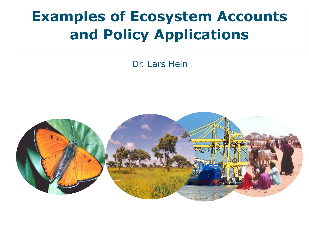# **Examples of Ecosystem Accounts and Policy Applications**

Dr. Lars Hein

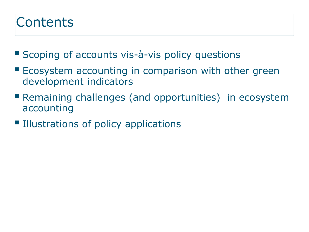#### **Contents**

- Scoping of accounts vis-à-vis policy questions
- **E** Ecosystem accounting in comparison with other green development indicators
- **Remaining challenges (and opportunities) in ecosystem** accounting
- **Illustrations of policy applications**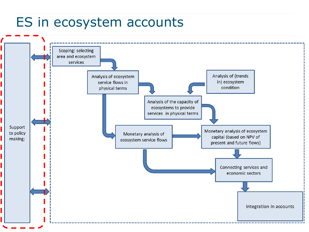#### ES in ecosystem accounts

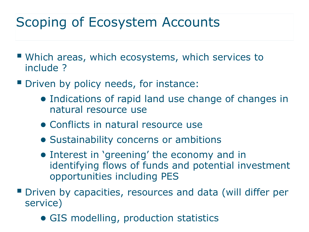## Scoping of Ecosystem Accounts

- Which areas, which ecosystems, which services to include ?
- **Driven by policy needs, for instance:** 
	- Indications of rapid land use change of changes in natural resource use
	- Conflicts in natural resource use
	- Sustainability concerns or ambitions
	- Interest in 'greening' the economy and in identifying flows of funds and potential investment opportunities including PES
- Driven by capacities, resources and data (will differ per service)
	- GIS modelling, production statistics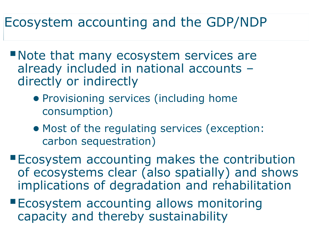## Ecosystem accounting and the GDP/NDP

- Note that many ecosystem services are already included in national accounts – directly or indirectly
	- Provisioning services (including home consumption)
	- Most of the regulating services (exception: carbon sequestration)
- **Ecosystem accounting makes the contribution** of ecosystems clear (also spatially) and shows implications of degradation and rehabilitation
- **Ecosystem accounting allows monitoring** capacity and thereby sustainability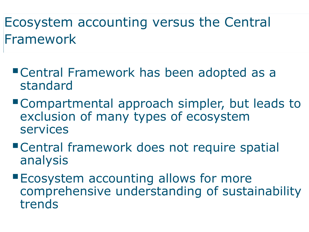## Ecosystem accounting versus the Central Framework

- Central Framework has been adopted as a standard
- Compartmental approach simpler, but leads to exclusion of many types of ecosystem services
- Central framework does not require spatial analysis
- **Ecosystem accounting allows for more** comprehensive understanding of sustainability trends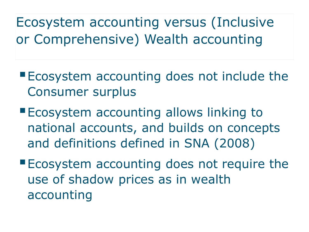Ecosystem accounting versus (Inclusive or Comprehensive) Wealth accounting

- **Ecosystem accounting does not include the** Consumer surplus
- **Ecosystem accounting allows linking to** national accounts, and builds on concepts and definitions defined in SNA (2008)
- **Ecosystem accounting does not require the** use of shadow prices as in wealth accounting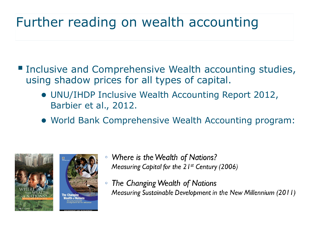## Further reading on wealth accounting

- Inclusive and Comprehensive Wealth accounting studies, using shadow prices for all types of capital.
	- UNU/IHDP Inclusive Wealth Accounting Report 2012, Barbier et al., 2012.
	- World Bank Comprehensive Wealth Accounting program:





- Where is the Wealth of Nations?  $\circ$ Measuring Capital for the  $21^{st}$  Century (2006)
- The Changing Wealth of Nations  $\circ$ Measuring Sustainable Development in the New Millennium (2011)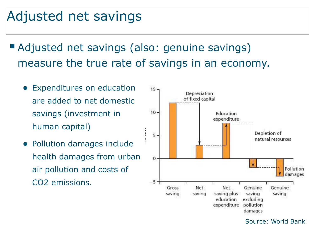## Adjusted net savings

- Adjusted net savings (also: genuine savings) measure the true rate of savings in an economy.
	- Expenditures on education are added to net domestic savings (investment in human capital)
	- Pollution damages include health damages from urban air pollution and costs of CO2 emissions.



Source: World Bank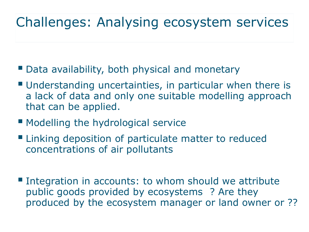## Challenges: Analysing ecosystem services

- Data availability, both physical and monetary
- Understanding uncertainties, in particular when there is a lack of data and only one suitable modelling approach that can be applied.
- **Modelling the hydrological service**
- **Example 1** Linking deposition of particulate matter to reduced concentrations of air pollutants
- **Integration in accounts: to whom should we attribute** public goods provided by ecosystems ? Are they produced by the ecosystem manager or land owner or ??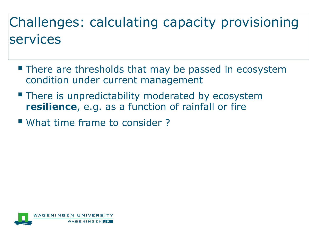# Challenges: calculating capacity provisioning services

- **There are thresholds that may be passed in ecosystem** condition under current management
- **There is unpredictability moderated by ecosystem resilience**, e.g. as a function of rainfall or fire
- What time frame to consider ?

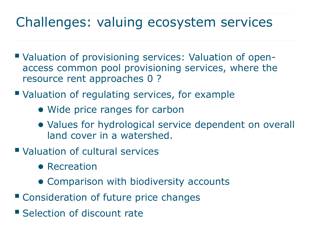## Challenges: valuing ecosystem services

- Valuation of provisioning services: Valuation of openaccess common pool provisioning services, where the resource rent approaches 0 ?
- Valuation of regulating services, for example
	- Wide price ranges for carbon
	- Values for hydrological service dependent on overall land cover in a watershed.
- Valuation of cultural services
	- Recreation
	- Comparison with biodiversity accounts
- Consideration of future price changes
- **Selection of discount rate**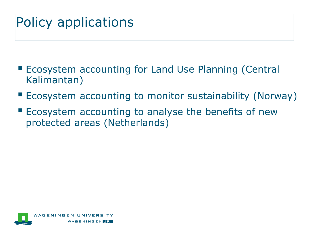## Policy applications

- **Ecosystem accounting for Land Use Planning (Central** Kalimantan)
- **Example 20 FLCOSYstem accounting to monitor sustainability (Norway)**
- **E** Ecosystem accounting to analyse the benefits of new protected areas (Netherlands)

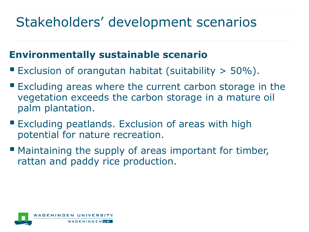## Stakeholders' development scenarios

#### **Environmentally sustainable scenario**

- Exclusion of orangutan habitat (suitability  $>$  50%).
- **Excluding areas where the current carbon storage in the** vegetation exceeds the carbon storage in a mature oil palm plantation.
- **Excluding peatlands. Exclusion of areas with high** potential for nature recreation.
- Maintaining the supply of areas important for timber, rattan and paddy rice production.

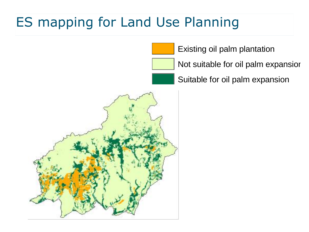## ES mapping for Land Use Planning

Existing oil palm plantation

Not suitable for oil palm expansior

Suitable for oil palm expansion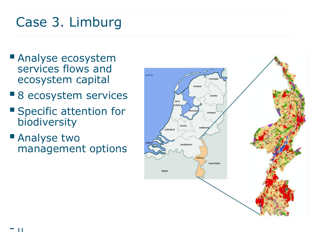## Case 3. Limburg

- **Analyse ecosystem** services flows and ecosystem capital
- 8 ecosystem services
- **Specific attention for** biodiversity
- **Analyse two** management options

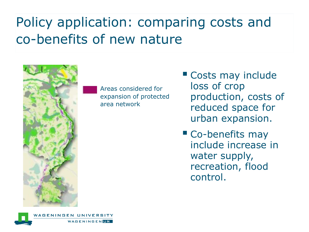## Policy application: comparing costs and co-benefits of new nature



WAGENINGENTR

Areas considered for expansion of protected area network

- **Costs may include** loss of crop production, costs of reduced space for urban expansion.
- **Co-benefits may** include increase in water supply, recreation, flood control.